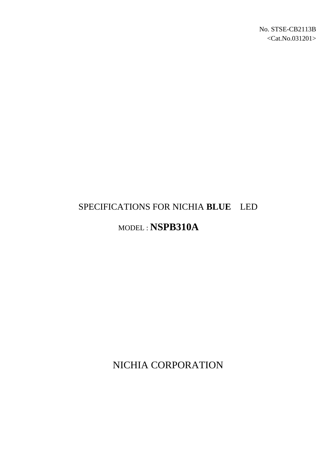# SPECIFICATIONS FOR NICHIA **BLUE** LED

# MODEL : **NSPB310A**

NICHIA CORPORATION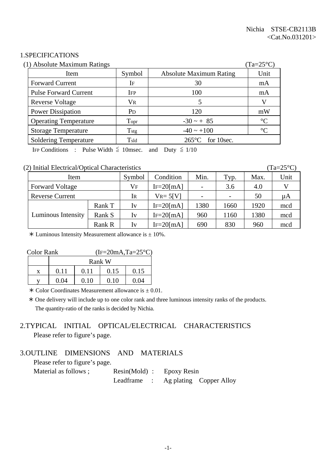#### 1.SPECIFICATIONS

| (1) Absolute Maximum Ratings |                       |                                | $(Ta=25^{\circ}C)$ |
|------------------------------|-----------------------|--------------------------------|--------------------|
| Item                         | Symbol                | <b>Absolute Maximum Rating</b> | Unit               |
| <b>Forward Current</b>       | IF                    | 30                             | mA                 |
| <b>Pulse Forward Current</b> | <b>IFP</b>            | 100                            | mA                 |
| <b>Reverse Voltage</b>       | <b>VR</b>             |                                | V                  |
| <b>Power Dissipation</b>     | <b>P</b> <sub>D</sub> | 120                            | mW                 |
| <b>Operating Temperature</b> | Topr                  | $-30 - + 85$                   | $\rm ^{\circ}C$    |
| <b>Storage Temperature</b>   | T <sub>stg</sub>      | $-40 \sim +100$                | $\rm ^{\circ}C$    |
| <b>Soldering Temperature</b> | Tsld                  | $265^{\circ}$ C for 10sec.     |                    |

IFP Conditions : Pulse Width  $\leq$  10msec. and Duty  $\leq$  1/10

#### (2) Initial Electrical/Optical Characteristics (Ta=25°C)

| Item                   |        | Symbol    | Condition      | Min. | Typ.                     | Max. | Unit |
|------------------------|--------|-----------|----------------|------|--------------------------|------|------|
| <b>Forward Voltage</b> |        | $\rm V_F$ | $IF=20$ [mA]   |      | 3.6                      | 4.0  |      |
| <b>Reverse Current</b> |        | Ir        | $V_{R} = 5[V]$ |      | $\overline{\phantom{a}}$ | 50   | μA   |
|                        | Rank T | Iv        | $IF = 20$ [mA] | 1380 | 1660                     | 1920 | mcd  |
| Luminous Intensity     | Rank S | Iv        | $IF=20$ [mA]   | 960  | 1160                     | 1380 | mcd  |
|                        | Rank R | Iv        | $IF = 20$ [mA] | 690  | 830                      | 960  | mcd  |

 $*$  Luminous Intensity Measurement allowance is  $\pm$  10%.

| <b>Color Rank</b> |      | $(IF=20mA, Ta=25°C)$ |        |      |  |
|-------------------|------|----------------------|--------|------|--|
|                   |      |                      | Rank W |      |  |
|                   | O 11 | 0.11                 | 0.15   | 0.15 |  |
|                   | 0 04 | 0. IO                | 0 10   | 0.04 |  |

 $*$  Color Coordinates Measurement allowance is  $\pm$  0.01.

 ! One delivery will include up to one color rank and three luminous intensity ranks of the products. The quantity-ratio of the ranks is decided by Nichia.

# 2.TYPICAL INITIAL OPTICAL/ELECTRICAL CHARACTERISTICS Please refer to figure's page.

#### 3.OUTLINE DIMENSIONS AND MATERIALS

Please refer to figure's page.

| Material as follows ; | $Resin(Mold)$ : Epoxy Resin |  |                                     |
|-----------------------|-----------------------------|--|-------------------------------------|
|                       |                             |  | Leadframe : Ag plating Copper Alloy |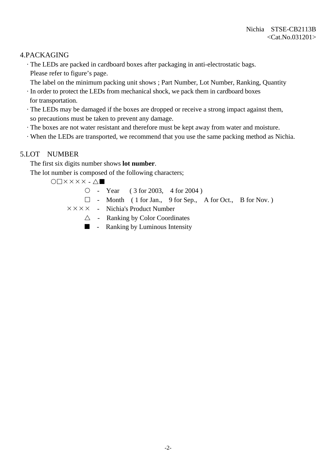# 4.PACKAGING

 · The LEDs are packed in cardboard boxes after packaging in anti-electrostatic bags. Please refer to figure's page.

The label on the minimum packing unit shows ; Part Number, Lot Number, Ranking, Quantity

- · In order to protect the LEDs from mechanical shock, we pack them in cardboard boxes for transportation.
- · The LEDs may be damaged if the boxes are dropped or receive a strong impact against them, so precautions must be taken to prevent any damage.
- · The boxes are not water resistant and therefore must be kept away from water and moisture.
- · When the LEDs are transported, we recommend that you use the same packing method as Nichia.

# 5.LOT NUMBER

The first six digits number shows **lot number**.

The lot number is composed of the following characters;

 $O\Box$  $X$  $X$  $X$  $X$  $\bot$  $\Delta$  $\blacksquare$ 

- $\circ$  Year ( 3 for 2003, 4 for 2004)
- $\Box$  Month ( 1 for Jan., 9 for Sep., A for Oct., B for Nov.)
- $\times \times \times \times$  Nichia's Product Number
	- $\triangle$  Ranking by Color Coordinates
	- $\blacksquare$  Ranking by Luminous Intensity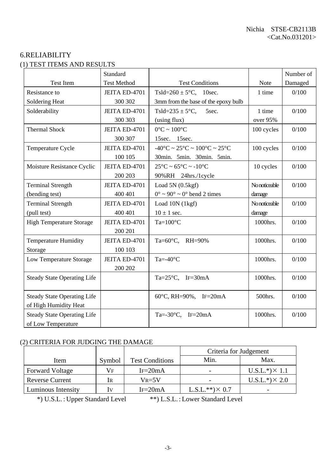# 6.RELIABILITY (1) TEST ITEMS AND RESULTS

|                                    | Standard           |                                                                        |               | Number of |
|------------------------------------|--------------------|------------------------------------------------------------------------|---------------|-----------|
| <b>Test Item</b>                   | <b>Test Method</b> | <b>Test Conditions</b>                                                 | Note          | Damaged   |
| Resistance to                      | JEITA ED-4701      | Tsld= $260 \pm 5^{\circ}$ C, 10sec.                                    | 1 time        | 0/100     |
| Soldering Heat                     | 300 302            | 3mm from the base of the epoxy bulb                                    |               |           |
| Solderability                      | JEITA ED-4701      | Tsld=235 $\pm$ 5°C,<br>5sec.                                           | 1 time        | 0/100     |
|                                    | 300 303            | (using flux)                                                           | over 95%      |           |
| <b>Thermal Shock</b>               | JEITA ED-4701      | $0^{\circ}$ C ~ $100^{\circ}$ C                                        | 100 cycles    | 0/100     |
|                                    | 300 307            | 15sec. 15sec.                                                          |               |           |
| Temperature Cycle                  | JEITA ED-4701      | $-40^{\circ}$ C ~ 25 $^{\circ}$ C ~ 100 $^{\circ}$ C ~ 25 $^{\circ}$ C | 100 cycles    | 0/100     |
|                                    | 100 105            | 30min. 5min. 30min. 5min.                                              |               |           |
| Moisture Resistance Cyclic         | JEITA ED-4701      | $25^{\circ}$ C ~ 65 $^{\circ}$ C ~ -10 $^{\circ}$ C                    | 10 cycles     | 0/100     |
|                                    | 200 203            | 90%RH 24hrs./1cycle                                                    |               |           |
| <b>Terminal Strength</b>           | JEITA ED-4701      | Load $5N(0.5kgf)$                                                      | No noticeable | 0/100     |
| (bending test)                     | 400 401            | $0^{\circ} \sim 90^{\circ} \sim 0^{\circ}$ bend 2 times                | damage        |           |
| <b>Terminal Strength</b>           | JEITA ED-4701      | Load 10N (1kgf)                                                        | No noticeable | 0/100     |
| (pull test)                        | 400 401            | $10 \pm 1$ sec.                                                        | damage        |           |
| <b>High Temperature Storage</b>    | JEITA ED-4701      | $Ta=100^{\circ}C$                                                      | 1000hrs.      | 0/100     |
|                                    | 200 201            |                                                                        |               |           |
| <b>Temperature Humidity</b>        | JEITA ED-4701      | Ta=60°C, RH=90%                                                        | 1000hrs.      | 0/100     |
| Storage                            | 100 103            |                                                                        |               |           |
| Low Temperature Storage            | JEITA ED-4701      | Ta=- $40^{\circ}$ C                                                    | 1000hrs.      | 0/100     |
|                                    | 200 202            |                                                                        |               |           |
| <b>Steady State Operating Life</b> |                    | Ta= $25^{\circ}$ C, IF= $30$ mA                                        | 1000hrs.      | 0/100     |
|                                    |                    |                                                                        |               |           |
| <b>Steady State Operating Life</b> |                    | 60°C, RH=90%, IF=20mA                                                  | 500hrs.       | 0/100     |
| of High Humidity Heat              |                    |                                                                        |               |           |
| <b>Steady State Operating Life</b> |                    | Ta=-30 $\degree$ C, IF=20mA                                            | 1000hrs.      | 0/100     |
| of Low Temperature                 |                    |                                                                        |               |           |

### (2) CRITERIA FOR JUDGING THE DAMAGE

|                        |                         |                        | Criteria for Judgement |                       |
|------------------------|-------------------------|------------------------|------------------------|-----------------------|
| Item                   | Symbol                  | <b>Test Conditions</b> | Min.                   | Max.                  |
| <b>Forward Voltage</b> | Vf                      | $IF=20mA$              |                        | $U.S.L.*) \times 1.1$ |
| <b>Reverse Current</b> | IR                      | $V_{R=5}V$             |                        | $U.S.L.*) \times 2.0$ |
| Luminous Intensity     | $\mathbf{I} \mathbf{V}$ | $IF=20mA$              | $L.S.L.**)\times 0.7$  |                       |

\*) U.S.L. : Upper Standard Level \*\*) L.S.L. : Lower Standard Level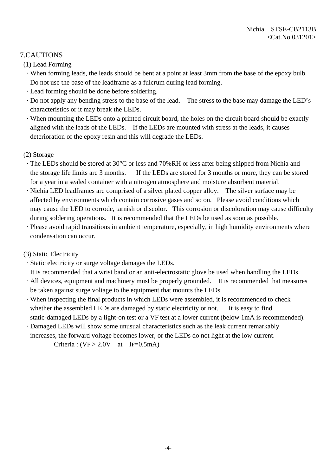# 7.CAUTIONS

(1) Lead Forming

- · When forming leads, the leads should be bent at a point at least 3mm from the base of the epoxy bulb. Do not use the base of the leadframe as a fulcrum during lead forming.
- · Lead forming should be done before soldering.
- · Do not apply any bending stress to the base of the lead. The stress to the base may damage the LED's characteristics or it may break the LEDs.
- · When mounting the LEDs onto a printed circuit board, the holes on the circuit board should be exactly aligned with the leads of the LEDs. If the LEDs are mounted with stress at the leads, it causes deterioration of the epoxy resin and this will degrade the LEDs.

#### (2) Storage

- · The LEDs should be stored at 30°C or less and 70%RH or less after being shipped from Nichia and the storage life limits are 3 months. If the LEDs are stored for 3 months or more, they can be stored for a year in a sealed container with a nitrogen atmosphere and moisture absorbent material.
- · Nichia LED leadframes are comprised of a silver plated copper alloy. The silver surface may be affected by environments which contain corrosive gases and so on. Please avoid conditions which may cause the LED to corrode, tarnish or discolor. This corrosion or discoloration may cause difficulty during soldering operations. It is recommended that the LEDs be used as soon as possible.
- · Please avoid rapid transitions in ambient temperature, especially, in high humidity environments where condensation can occur.

### (3) Static Electricity

· Static electricity or surge voltage damages the LEDs.

It is recommended that a wrist band or an anti-electrostatic glove be used when handling the LEDs.

- · All devices, equipment and machinery must be properly grounded. It is recommended that measures be taken against surge voltage to the equipment that mounts the LEDs.
- · When inspecting the final products in which LEDs were assembled, it is recommended to check whether the assembled LEDs are damaged by static electricity or not. It is easy to find static-damaged LEDs by a light-on test or a VF test at a lower current (below 1mA is recommended).
- · Damaged LEDs will show some unusual characteristics such as the leak current remarkably increases, the forward voltage becomes lower, or the LEDs do not light at the low current.

Criteria :  $(VF > 2.0V$  at IF=0.5mA)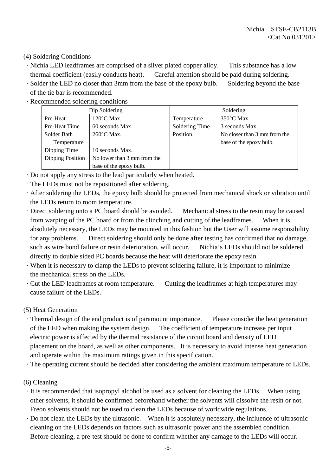#### (4) Soldering Conditions

- · Nichia LED leadframes are comprised of a silver plated copper alloy. This substance has a low thermal coefficient (easily conducts heat). Careful attention should be paid during soldering.
- · Solder the LED no closer than 3mm from the base of the epoxy bulb. Soldering beyond the base of the tie bar is recommended.
- · Recommended soldering conditions

|                  | Dip Soldering               |                | Soldering                    |
|------------------|-----------------------------|----------------|------------------------------|
| Pre-Heat         | $120^{\circ}$ C Max.        | Temperature    | $350^{\circ}$ C Max.         |
| Pre-Heat Time    | 60 seconds Max.             | Soldering Time | 3 seconds Max.               |
| Solder Bath      | $260^{\circ}$ C Max.        | Position       | No closer than 3 mm from the |
| Temperature      |                             |                | base of the epoxy bulb.      |
| Dipping Time     | 10 seconds Max.             |                |                              |
| Dipping Position | No lower than 3 mm from the |                |                              |
|                  | base of the epoxy bulb.     |                |                              |

- · Do not apply any stress to the lead particularly when heated.
- · The LEDs must not be repositioned after soldering.
- · After soldering the LEDs, the epoxy bulb should be protected from mechanical shock or vibration until the LEDs return to room temperature.
- · Direct soldering onto a PC board should be avoided. Mechanical stress to the resin may be caused from warping of the PC board or from the clinching and cutting of the leadframes. When it is absolutely necessary, the LEDs may be mounted in this fashion but the User will assume responsibility for any problems. Direct soldering should only be done after testing has confirmed that no damage, such as wire bond failure or resin deterioration, will occur. Nichia's LEDs should not be soldered directly to double sided PC boards because the heat will deteriorate the epoxy resin.
- · When it is necessary to clamp the LEDs to prevent soldering failure, it is important to minimize the mechanical stress on the LEDs.
- · Cut the LED leadframes at room temperature. Cutting the leadframes at high temperatures may cause failure of the LEDs.
- (5) Heat Generation
	- · Thermal design of the end product is of paramount importance. Please consider the heat generation of the LED when making the system design. The coefficient of temperature increase per input electric power is affected by the thermal resistance of the circuit board and density of LED placement on the board, as well as other components. It is necessary to avoid intense heat generation and operate within the maximum ratings given in this specification.
- · The operating current should be decided after considering the ambient maximum temperature of LEDs.
- (6) Cleaning
- · It is recommended that isopropyl alcohol be used as a solvent for cleaning the LEDs. When using other solvents, it should be confirmed beforehand whether the solvents will dissolve the resin or not. Freon solvents should not be used to clean the LEDs because of worldwide regulations.
- · Do not clean the LEDs by the ultrasonic. When it is absolutely necessary, the influence of ultrasonic cleaning on the LEDs depends on factors such as ultrasonic power and the assembled condition. Before cleaning, a pre-test should be done to confirm whether any damage to the LEDs will occur.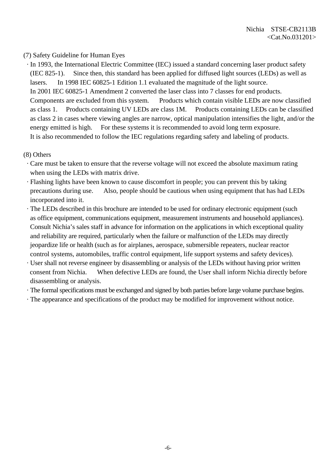#### (7) Safety Guideline for Human Eyes

 · In 1993, the International Electric Committee (IEC) issued a standard concerning laser product safety (IEC 825-1). Since then, this standard has been applied for diffused light sources (LEDs) as well as lasers. In 1998 IEC 60825-1 Edition 1.1 evaluated the magnitude of the light source. In 2001 IEC 60825-1 Amendment 2 converted the laser class into 7 classes for end products. Components are excluded from this system. Products which contain visible LEDs are now classified as class 1. Products containing UV LEDs are class 1M. Products containing LEDs can be classified as class 2 in cases where viewing angles are narrow, optical manipulation intensifies the light, and/or the energy emitted is high. For these systems it is recommended to avoid long term exposure. It is also recommended to follow the IEC regulations regarding safety and labeling of products.

#### (8) Others

- · Care must be taken to ensure that the reverse voltage will not exceed the absolute maximum rating when using the LEDs with matrix drive.
- · Flashing lights have been known to cause discomfort in people; you can prevent this by taking precautions during use. Also, people should be cautious when using equipment that has had LEDs incorporated into it.
- · The LEDs described in this brochure are intended to be used for ordinary electronic equipment (such as office equipment, communications equipment, measurement instruments and household appliances). Consult Nichia's sales staff in advance for information on the applications in which exceptional quality and reliability are required, particularly when the failure or malfunction of the LEDs may directly jeopardize life or health (such as for airplanes, aerospace, submersible repeaters, nuclear reactor control systems, automobiles, traffic control equipment, life support systems and safety devices).
- · User shall not reverse engineer by disassembling or analysis of the LEDs without having prior written consent from Nichia. When defective LEDs are found, the User shall inform Nichia directly before disassembling or analysis.
- · The formal specifications must be exchanged and signed by both parties before large volume purchase begins.
- · The appearance and specifications of the product may be modified for improvement without notice.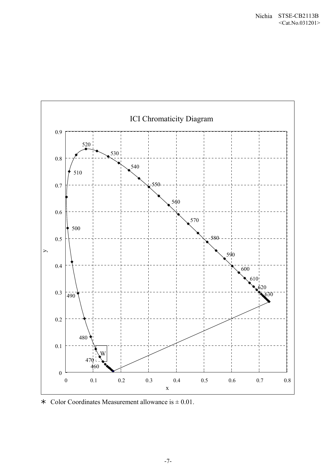

\* Color Coordinates Measurement allowance is  $\pm 0.01$ .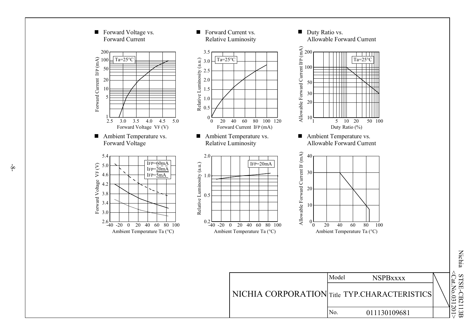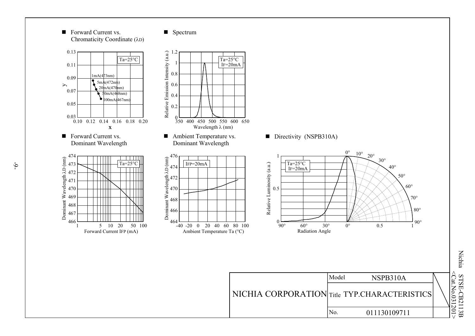

NICHIA CORPORATION Title TYP.CHARACTERISTICS No. 011130109711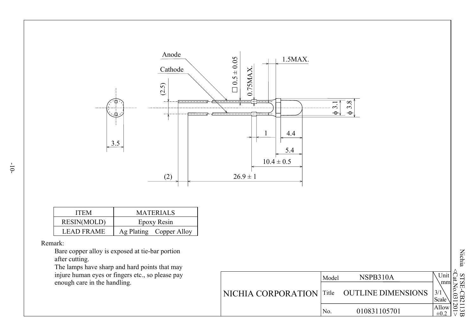

| <b>ITEM</b>        | <b>MATERIALS</b><br>Epoxy Resin |  |  |
|--------------------|---------------------------------|--|--|
| <b>RESIN(MOLD)</b> |                                 |  |  |
| <b>LEAD FRAME</b>  | Ag Plating Copper Alloy         |  |  |

#### Remark:

 Bare copper alloy is exposed at tie-bar portion after cutting.

 The lamps have sharp and hard points that may injure human eyes or fingers etc., so please pay enough care in the handling.

|                            | Model | NSPB310A                  |                    |
|----------------------------|-------|---------------------------|--------------------|
| NICHIA CORPORATION   Title |       | <b>OUTLINE DIMENSIONS</b> | 3/7<br>سا<br>Scale |
|                            | No.   | 010831105701              | N<br>Allow         |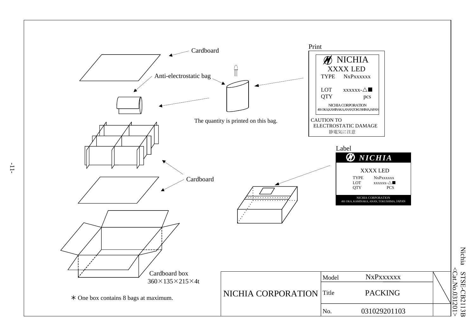

Nichia STSE-CB2113B <Cat.No.031201  $\frac{\text{STSE-CB2113B}}{\text{Cat.No.}031201}$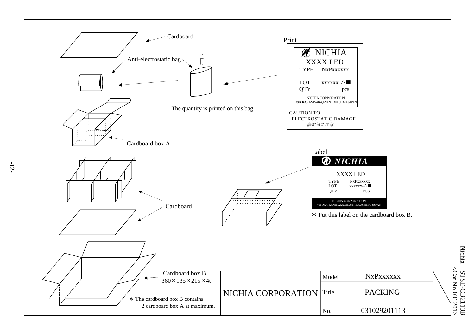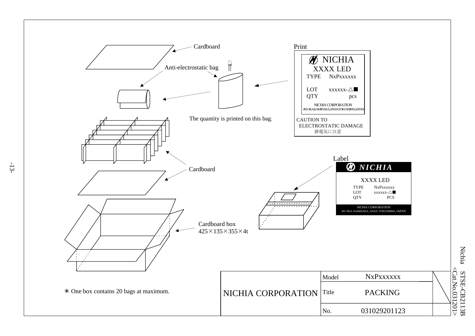

Nichia STSE-CB2113B <Cat.No.031201  $\frac{\text{STSE-CB2113B}}{\text{Ccat:No.031201>}}$